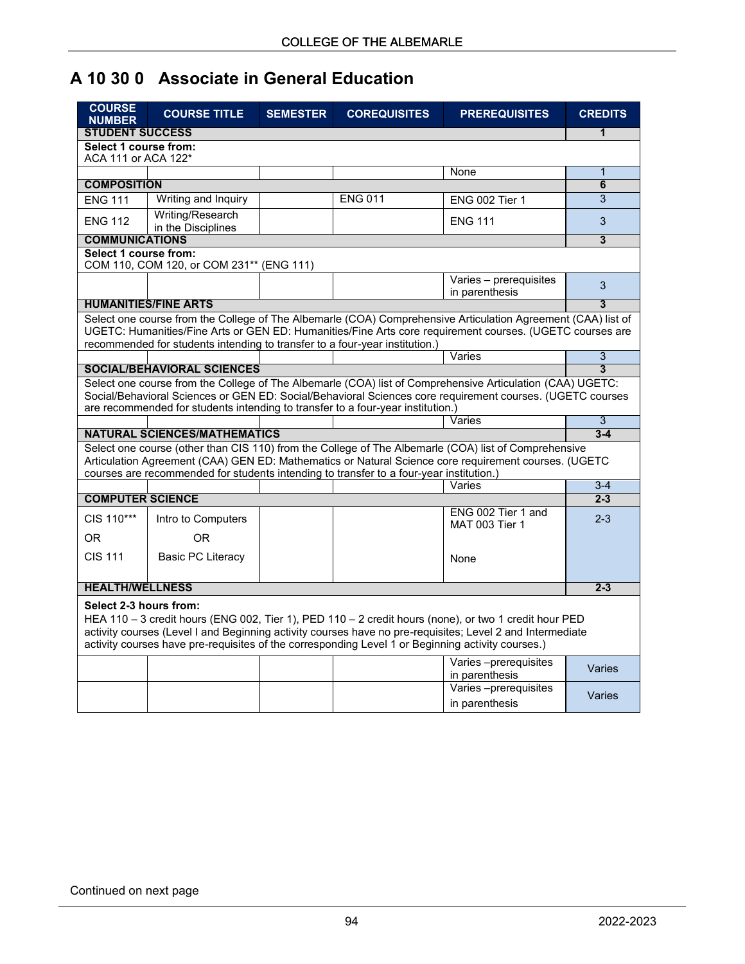## **A 10 30 0 Associate in General Education**

| <b>COURSE</b><br><b>NUMBER</b>                                                                                                                                                                                                                                                                                                                    | <b>COURSE TITLE</b>                                                             | <b>SEMESTER</b> | <b>COREQUISITES</b> | <b>PREREQUISITES</b>                                                                                      | <b>CREDITS</b> |  |  |  |
|---------------------------------------------------------------------------------------------------------------------------------------------------------------------------------------------------------------------------------------------------------------------------------------------------------------------------------------------------|---------------------------------------------------------------------------------|-----------------|---------------------|-----------------------------------------------------------------------------------------------------------|----------------|--|--|--|
| <b>STUDENT SUCCESS</b>                                                                                                                                                                                                                                                                                                                            |                                                                                 |                 |                     |                                                                                                           |                |  |  |  |
| Select 1 course from:<br>ACA 111 or ACA 122*                                                                                                                                                                                                                                                                                                      |                                                                                 |                 |                     |                                                                                                           |                |  |  |  |
|                                                                                                                                                                                                                                                                                                                                                   |                                                                                 |                 |                     | None                                                                                                      | 1<br>6         |  |  |  |
| <b>COMPOSITION</b>                                                                                                                                                                                                                                                                                                                                |                                                                                 |                 |                     |                                                                                                           |                |  |  |  |
| <b>ENG 111</b>                                                                                                                                                                                                                                                                                                                                    | Writing and Inquiry                                                             |                 | <b>ENG 011</b>      | <b>ENG 002 Tier 1</b>                                                                                     | 3              |  |  |  |
| <b>ENG 112</b>                                                                                                                                                                                                                                                                                                                                    | Writing/Research<br>in the Disciplines                                          |                 |                     | <b>ENG 111</b>                                                                                            | 3              |  |  |  |
|                                                                                                                                                                                                                                                                                                                                                   | <b>COMMUNICATIONS</b>                                                           |                 |                     |                                                                                                           |                |  |  |  |
| Select 1 course from:<br>COM 110, COM 120, or COM 231** (ENG 111)                                                                                                                                                                                                                                                                                 |                                                                                 |                 |                     |                                                                                                           |                |  |  |  |
|                                                                                                                                                                                                                                                                                                                                                   |                                                                                 |                 |                     | Varies - prerequisites                                                                                    | 3              |  |  |  |
|                                                                                                                                                                                                                                                                                                                                                   |                                                                                 |                 |                     | in parenthesis                                                                                            |                |  |  |  |
|                                                                                                                                                                                                                                                                                                                                                   | <b>HUMANITIES/FINE ARTS</b>                                                     |                 |                     |                                                                                                           | 3              |  |  |  |
| Select one course from the College of The Albemarle (COA) Comprehensive Articulation Agreement (CAA) list of<br>UGETC: Humanities/Fine Arts or GEN ED: Humanities/Fine Arts core requirement courses. (UGETC courses are<br>recommended for students intending to transfer to a four-year institution.)                                           |                                                                                 |                 |                     |                                                                                                           |                |  |  |  |
|                                                                                                                                                                                                                                                                                                                                                   |                                                                                 |                 |                     | Varies                                                                                                    | 3              |  |  |  |
|                                                                                                                                                                                                                                                                                                                                                   | <b>SOCIAL/BEHAVIORAL SCIENCES</b>                                               |                 |                     |                                                                                                           | 3              |  |  |  |
|                                                                                                                                                                                                                                                                                                                                                   |                                                                                 |                 |                     | Select one course from the College of The Albemarle (COA) list of Comprehensive Articulation (CAA) UGETC: |                |  |  |  |
|                                                                                                                                                                                                                                                                                                                                                   | are recommended for students intending to transfer to a four-year institution.) |                 |                     | Social/Behavioral Sciences or GEN ED: Social/Behavioral Sciences core requirement courses. (UGETC courses |                |  |  |  |
|                                                                                                                                                                                                                                                                                                                                                   |                                                                                 |                 |                     | Varies                                                                                                    | $\overline{3}$ |  |  |  |
|                                                                                                                                                                                                                                                                                                                                                   | <b>NATURAL SCIENCES/MATHEMATICS</b>                                             |                 |                     |                                                                                                           | $3 - 4$        |  |  |  |
| Select one course (other than CIS 110) from the College of The Albemarle (COA) list of Comprehensive<br>Articulation Agreement (CAA) GEN ED: Mathematics or Natural Science core requirement courses. (UGETC<br>courses are recommended for students intending to transfer to a four-year institution.)                                           |                                                                                 |                 |                     |                                                                                                           |                |  |  |  |
|                                                                                                                                                                                                                                                                                                                                                   |                                                                                 |                 |                     | Varies                                                                                                    | $3 - 4$        |  |  |  |
| <b>COMPUTER SCIENCE</b>                                                                                                                                                                                                                                                                                                                           |                                                                                 |                 |                     |                                                                                                           | $2 - 3$        |  |  |  |
| CIS 110***                                                                                                                                                                                                                                                                                                                                        | Intro to Computers                                                              |                 |                     | ENG 002 Tier 1 and                                                                                        | $2 - 3$        |  |  |  |
|                                                                                                                                                                                                                                                                                                                                                   |                                                                                 |                 |                     | <b>MAT 003 Tier 1</b>                                                                                     |                |  |  |  |
| 0 <sub>R</sub>                                                                                                                                                                                                                                                                                                                                    | 0 <sub>R</sub>                                                                  |                 |                     |                                                                                                           |                |  |  |  |
| <b>CIS 111</b>                                                                                                                                                                                                                                                                                                                                    | <b>Basic PC Literacy</b>                                                        |                 |                     | None                                                                                                      |                |  |  |  |
|                                                                                                                                                                                                                                                                                                                                                   |                                                                                 |                 |                     |                                                                                                           |                |  |  |  |
| <b>HEALTH/WELLNESS</b>                                                                                                                                                                                                                                                                                                                            |                                                                                 |                 |                     |                                                                                                           | $2 - 3$        |  |  |  |
|                                                                                                                                                                                                                                                                                                                                                   |                                                                                 |                 |                     |                                                                                                           |                |  |  |  |
| Select 2-3 hours from:<br>HEA 110 - 3 credit hours (ENG 002, Tier 1), PED 110 - 2 credit hours (none), or two 1 credit hour PED<br>activity courses (Level I and Beginning activity courses have no pre-requisites; Level 2 and Intermediate<br>activity courses have pre-requisites of the corresponding Level 1 or Beginning activity courses.) |                                                                                 |                 |                     |                                                                                                           |                |  |  |  |
|                                                                                                                                                                                                                                                                                                                                                   |                                                                                 |                 |                     | Varies-prerequisites<br>in parenthesis                                                                    | Varies         |  |  |  |
|                                                                                                                                                                                                                                                                                                                                                   |                                                                                 |                 |                     | Varies-prerequisites<br>in parenthesis                                                                    | Varies         |  |  |  |
|                                                                                                                                                                                                                                                                                                                                                   |                                                                                 |                 |                     |                                                                                                           |                |  |  |  |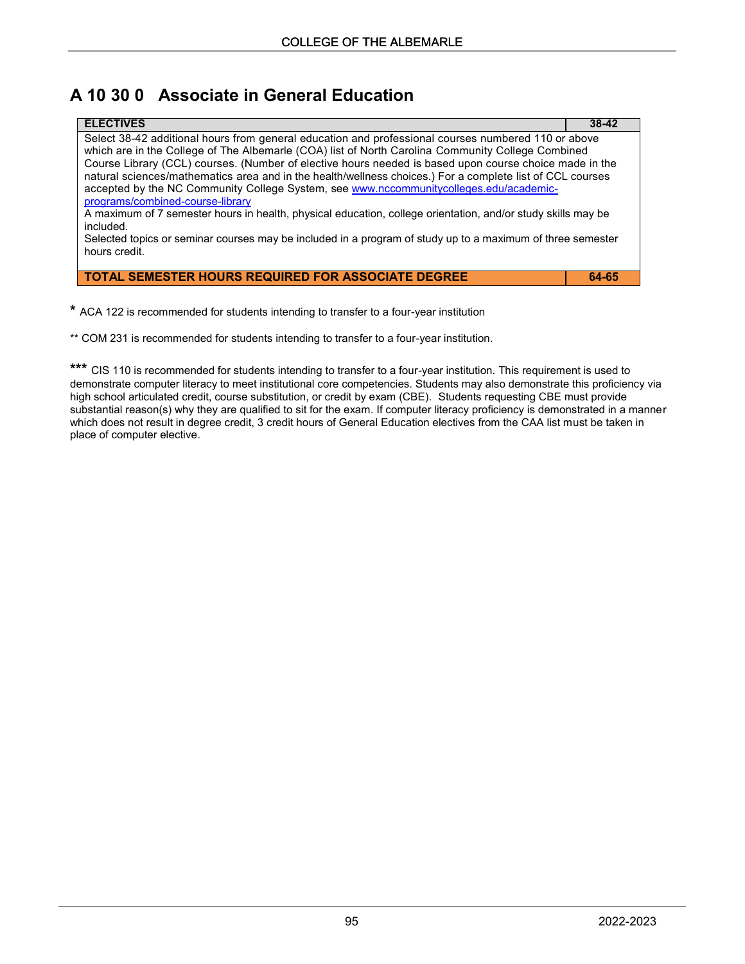## **A 10 30 0 Associate in General Education**

| <b>ELECTIVES</b>                                                                                                                                                                                                                                                                                                                                                                                                                                                                                                                                                                                                                                                                           | $38-42$ |
|--------------------------------------------------------------------------------------------------------------------------------------------------------------------------------------------------------------------------------------------------------------------------------------------------------------------------------------------------------------------------------------------------------------------------------------------------------------------------------------------------------------------------------------------------------------------------------------------------------------------------------------------------------------------------------------------|---------|
| Select 38-42 additional hours from general education and professional courses numbered 110 or above<br>which are in the College of The Albemarle (COA) list of North Carolina Community College Combined<br>Course Library (CCL) courses. (Number of elective hours needed is based upon course choice made in the<br>natural sciences/mathematics area and in the health/wellness choices.) For a complete list of CCL courses<br>accepted by the NC Community College System, see www.nccommunitycolleges.edu/academic-<br>programs/combined-course-library<br>A maximum of 7 semester hours in health, physical education, college orientation, and/or study skills may be<br>included. |         |
| Selected topics or seminar courses may be included in a program of study up to a maximum of three semester<br>hours credit.                                                                                                                                                                                                                                                                                                                                                                                                                                                                                                                                                                |         |

**TOTAL SEMESTER HOURS REQUIRED FOR ASSOCIATE DEGREE 64-65**

**\*** ACA 122 is recommended for students intending to transfer to a four-year institution

\*\* COM 231 is recommended for students intending to transfer to a four-year institution.

**\*\*\*** CIS 110 is recommended for students intending to transfer to a four-year institution. This requirement is used to demonstrate computer literacy to meet institutional core competencies. Students may also demonstrate this proficiency via high school articulated credit, course substitution, or credit by exam (CBE). Students requesting CBE must provide substantial reason(s) why they are qualified to sit for the exam. If computer literacy proficiency is demonstrated in a manner which does not result in degree credit, 3 credit hours of General Education electives from the CAA list must be taken in place of computer elective.